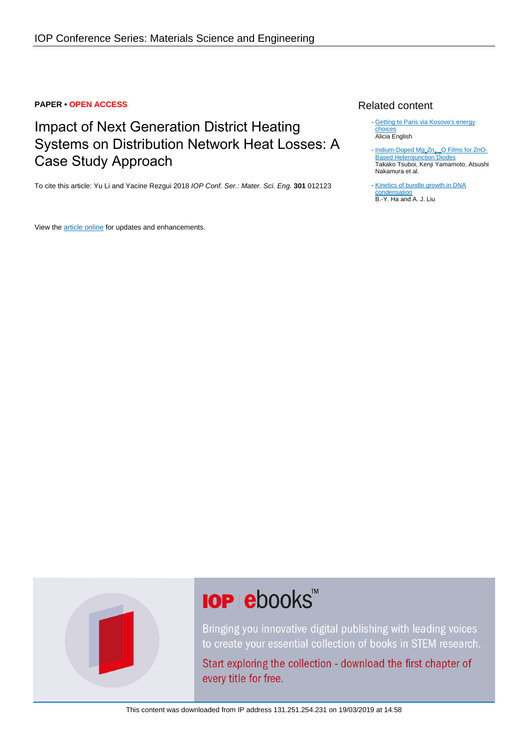#### **PAPER • OPEN ACCESS**

# Impact of Next Generation District Heating Systems on Distribution Network Heat Losses: A Case Study Approach

To cite this article: Yu Li and Yacine Rezgui 2018 IOP Conf. Ser.: Mater. Sci. Eng. **301** 012123

View the **[article online](https://doi.org/10.1088/1757-899X/301/1/012123)** for updates and enhancements.

### Related content

- [Getting to Paris via Kosovo's energy](http://iopscience.iop.org/article/10.1088/1748-9326/aa58be) [choices](http://iopscience.iop.org/article/10.1088/1748-9326/aa58be) Alicia English
- [Indium-Doped Mg](http://iopscience.iop.org/article/10.1143/JJAP.49.04DG13)<sub>x</sub>[Zn](http://iopscience.iop.org/article/10.1143/JJAP.49.04DG13)<sub>1-x</sub>[O Films for ZnO-](http://iopscience.iop.org/article/10.1143/JJAP.49.04DG13)**[Based Heterojunction Diodes](http://iopscience.iop.org/article/10.1143/JJAP.49.04DG13)** Takako Tsuboi, Kenji Yamamoto, Atsushi Nakamura et al. -
- [Kinetics of bundle growth in DNA](http://iopscience.iop.org/article/10.1209/epl/i1999-00311-6) [condensation](http://iopscience.iop.org/article/10.1209/epl/i1999-00311-6) B.-Y. Ha and A. J. Liu



# **IOP ebooks**™

Bringing you innovative digital publishing with leading voices to create your essential collection of books in STEM research.

Start exploring the collection - download the first chapter of every title for free.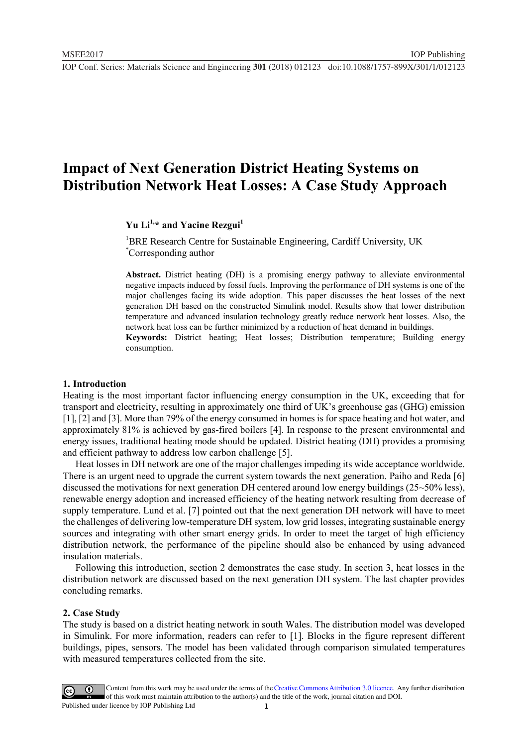## **Impact of Next Generation District Heating Systems on Distribution Network Heat Losses: A Case Study Approach**

## **Yu Li1,\* and Yacine Rezgui<sup>1</sup>**

<sup>1</sup>BRE Research Centre for Sustainable Engineering, Cardiff University, UK \*Corresponding author

**Abstract.** District heating (DH) is a promising energy pathway to alleviate environmental negative impacts induced by fossil fuels. Improving the performance of DH systems is one of the major challenges facing its wide adoption. This paper discusses the heat losses of the next generation DH based on the constructed Simulink model. Results show that lower distribution temperature and advanced insulation technology greatly reduce network heat losses. Also, the network heat loss can be further minimized by a reduction of heat demand in buildings. **Keywords:** District heating; Heat losses; Distribution temperature; Building energy consumption.

#### **1. Introduction**

Heating is the most important factor influencing energy consumption in the UK, exceeding that for transport and electricity, resulting in approximately one third of UK's greenhouse gas (GHG) emission [1], [2] and [3]. More than 79% of the energy consumed in homes is for space heating and hot water, and approximately 81% is achieved by gas-fired boilers [4]. In response to the present environmental and energy issues, traditional heating mode should be updated. District heating (DH) provides a promising and efficient pathway to address low carbon challenge [5].

Heat losses in DH network are one of the major challenges impeding its wide acceptance worldwide. There is an urgent need to upgrade the current system towards the next generation. Paiho and Reda [6] discussed the motivations for next generation DH centered around low energy buildings (25~50% less), renewable energy adoption and increased efficiency of the heating network resulting from decrease of supply temperature. Lund et al. [7] pointed out that the next generation DH network will have to meet the challenges of delivering low-temperature DH system, low grid losses, integrating sustainable energy sources and integrating with other smart energy grids. In order to meet the target of high efficiency distribution network, the performance of the pipeline should also be enhanced by using advanced insulation materials.

Following this introduction, section 2 demonstrates the case study. In section 3, heat losses in the distribution network are discussed based on the next generation DH system. The last chapter provides concluding remarks.

#### **2. Case Study**

The study is based on a district heating network in south Wales. The distribution model was developed in Simulink. For more information, readers can refer to [1]. Blocks in the figure represent different buildings, pipes, sensors. The model has been validated through comparison simulated temperatures with measured temperatures collected from the site.

Content from this work may be used under the terms of the [Creative Commons Attribution 3.0 licence.](http://creativecommons.org/licenses/by/3.0) Any further distribution of this work must maintain attribution to the author(s) and the title of the work, journal citation and DOI. Published under licence by IOP Publishing Ltd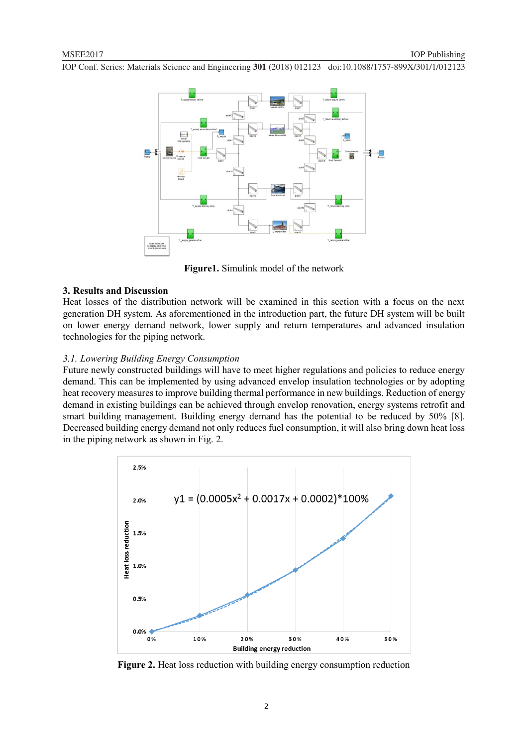

**Figure1.** Simulink model of the network

#### **3. Results and Discussion**

Heat losses of the distribution network will be examined in this section with a focus on the next generation DH system. As aforementioned in the introduction part, the future DH system will be built on lower energy demand network, lower supply and return temperatures and advanced insulation technologies for the piping network.

#### *3.1. Lowering Building Energy Consumption*

Future newly constructed buildings will have to meet higher regulations and policies to reduce energy demand. This can be implemented by using advanced envelop insulation technologies or by adopting heat recovery measures to improve building thermal performance in new buildings. Reduction of energy demand in existing buildings can be achieved through envelop renovation, energy systems retrofit and smart building management. Building energy demand has the potential to be reduced by 50% [8]. Decreased building energy demand not only reduces fuel consumption, it will also bring down heat loss in the piping network as shown in Fig. 2.



**Figure 2.** Heat loss reduction with building energy consumption reduction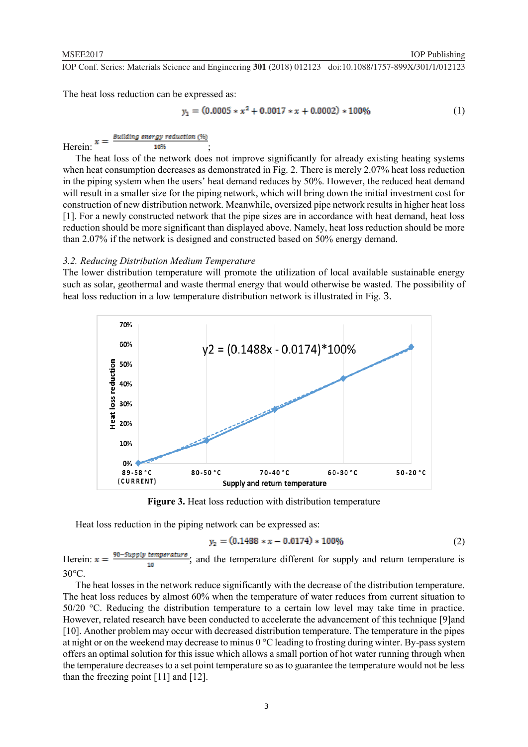The heat loss reduction can be expressed as:

$$
y_1 = (0.0005 * x^2 + 0.0017 * x + 0.0002) * 100\% \tag{1}
$$

Building energy reduction (%)

 $\text{Herein:} \begin{array}{ccc} \text{--} & \text{--} & \text{--} \end{array}$ 

The heat loss of the network does not improve significantly for already existing heating systems when heat consumption decreases as demonstrated in Fig. 2. There is merely 2.07% heat loss reduction in the piping system when the users' heat demand reduces by 50%. However, the reduced heat demand will result in a smaller size for the piping network, which will bring down the initial investment cost for construction of new distribution network. Meanwhile, oversized pipe network results in higher heat loss [1]. For a newly constructed network that the pipe sizes are in accordance with heat demand, heat loss reduction should be more significant than displayed above. Namely, heat loss reduction should be more than 2.07% if the network is designed and constructed based on 50% energy demand.

#### *3.2. Reducing Distribution Medium Temperature*

The lower distribution temperature will promote the utilization of local available sustainable energy such as solar, geothermal and waste thermal energy that would otherwise be wasted. The possibility of heat loss reduction in a low temperature distribution network is illustrated in Fig. 3.



**Figure 3.** Heat loss reduction with distribution temperature

Heat loss reduction in the piping network can be expressed as:

$$
y_2 = (0.1488 * x - 0.0174) * 100\% \tag{2}
$$

Herein:  $x = \frac{90 - \text{Supply temperature}}{10}$ ; and the temperature different for supply and return temperature is  $30^{\circ}$ C.

The heat losses in the network reduce significantly with the decrease of the distribution temperature. The heat loss reduces by almost 60% when the temperature of water reduces from current situation to 50/20 °C. Reducing the distribution temperature to a certain low level may take time in practice. However, related research have been conducted to accelerate the advancement of this technique [9]and [10]. Another problem may occur with decreased distribution temperature. The temperature in the pipes at night or on the weekend may decrease to minus 0 °C leading to frosting during winter. By-pass system offers an optimal solution for this issue which allows a small portion of hot water running through when the temperature decreases to a set point temperature so as to guarantee the temperature would not be less than the freezing point [11] and [12].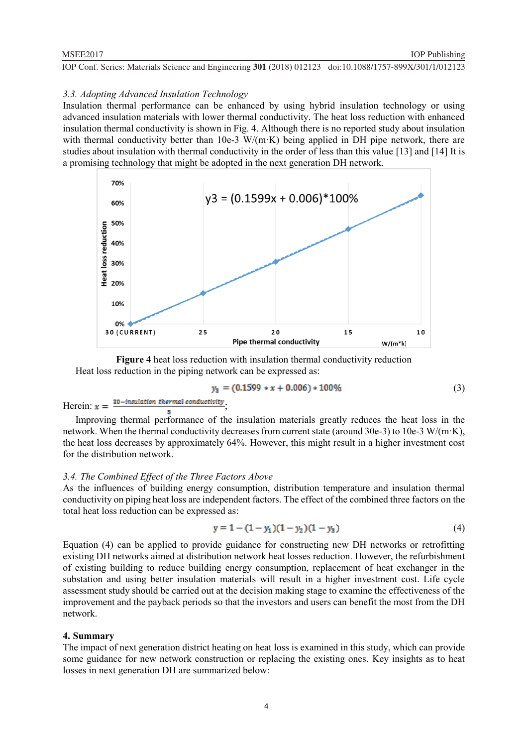#### *3.3. Adopting Advanced Insulation Technology*

Insulation thermal performance can be enhanced by using hybrid insulation technology or using advanced insulation materials with lower thermal conductivity. The heat loss reduction with enhanced insulation thermal conductivity is shown in Fig. 4. Although there is no reported study about insulation with thermal conductivity better than 10e-3 W/(m·K) being applied in DH pipe network, there are studies about insulation with thermal conductivity in the order of less than this value [13] and [14] It is a promising technology that might be adopted in the next generation DH network.



**Figure 4** heat loss reduction with insulation thermal conductivity reduction Heat loss reduction in the piping network can be expressed as:

$$
y_3 = (0.1599 * x + 0.006) * 100\%
$$
 (3)

Herein:  $x = \frac{30 - insulation thermal conductivity}{100}$ 

Improving thermal performance of the insulation materials greatly reduces the heat loss in the network. When the thermal conductivity decreases from current state (around 30e-3) to 10e-3 W/(m·K), the heat loss decreases by approximately 64%. However, this might result in a higher investment cost for the distribution network.

#### *3.4. The Combined Effect of the Three Factors Above*

As the influences of building energy consumption, distribution temperature and insulation thermal conductivity on piping heat loss are independent factors. The effect of the combined three factors on the total heat loss reduction can be expressed as:

$$
y = 1 - (1 - y_1)(1 - y_2)(1 - y_3)
$$
\n(4)

Equation (4) can be applied to provide guidance for constructing new DH networks or retrofitting existing DH networks aimed at distribution network heat losses reduction. However, the refurbishment of existing building to reduce building energy consumption, replacement of heat exchanger in the substation and using better insulation materials will result in a higher investment cost. Life cycle assessment study should be carried out at the decision making stage to examine the effectiveness of the improvement and the payback periods so that the investors and users can benefit the most from the DH network.

#### **4. Summary**

The impact of next generation district heating on heat loss is examined in this study, which can provide some guidance for new network construction or replacing the existing ones. Key insights as to heat losses in next generation DH are summarized below: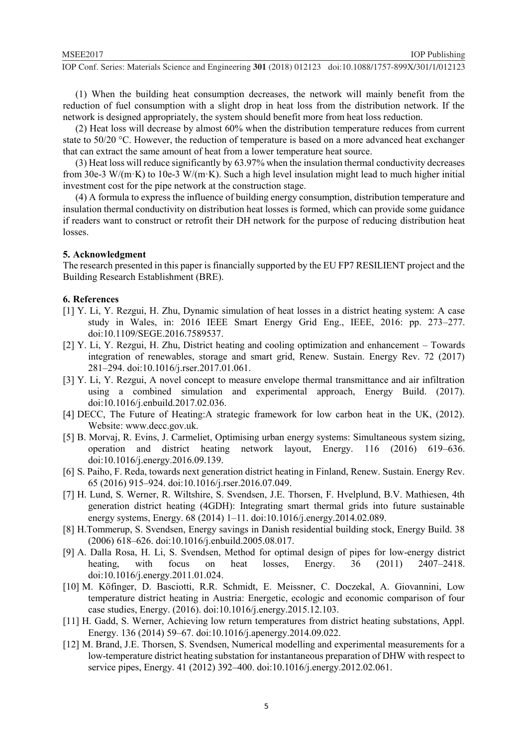(1) When the building heat consumption decreases, the network will mainly benefit from the reduction of fuel consumption with a slight drop in heat loss from the distribution network. If the network is designed appropriately, the system should benefit more from heat loss reduction.

(2) Heat loss will decrease by almost 60% when the distribution temperature reduces from current state to 50/20 °C. However, the reduction of temperature is based on a more advanced heat exchanger that can extract the same amount of heat from a lower temperature heat source.

(3) Heat loss will reduce significantly by 63.97% when the insulation thermal conductivity decreases from 30e-3 W/(m·K) to 10e-3 W/(m·K). Such a high level insulation might lead to much higher initial investment cost for the pipe network at the construction stage.

(4) A formula to express the influence of building energy consumption, distribution temperature and insulation thermal conductivity on distribution heat losses is formed, which can provide some guidance if readers want to construct or retrofit their DH network for the purpose of reducing distribution heat losses.

#### **5. Acknowledgment**

The research presented in this paper is financially supported by the EU FP7 RESILIENT project and the Building Research Establishment (BRE).

#### **6. References**

- [1] Y. Li, Y. Rezgui, H. Zhu, Dynamic simulation of heat losses in a district heating system: A case study in Wales, in: 2016 IEEE Smart Energy Grid Eng., IEEE, 2016: pp. 273–277. doi:10.1109/SEGE.2016.7589537.
- [2] Y. Li, Y. Rezgui, H. Zhu, District heating and cooling optimization and enhancement Towards integration of renewables, storage and smart grid, Renew. Sustain. Energy Rev. 72 (2017) 281–294. doi:10.1016/j.rser.2017.01.061.
- [3] Y. Li, Y. Rezgui, A novel concept to measure envelope thermal transmittance and air infiltration using a combined simulation and experimental approach, Energy Build. (2017). doi:10.1016/j.enbuild.2017.02.036.
- [4] DECC, The Future of Heating:A strategic framework for low carbon heat in the UK, (2012). Website: www.decc.gov.uk.
- [5] B. Morvaj, R. Evins, J. Carmeliet, Optimising urban energy systems: Simultaneous system sizing, operation and district heating network layout, Energy. 116 (2016) 619–636. doi:10.1016/j.energy.2016.09.139.
- [6] S. Paiho, F. Reda, towards next generation district heating in Finland, Renew. Sustain. Energy Rev. 65 (2016) 915–924. doi:10.1016/j.rser.2016.07.049.
- [7] H. Lund, S. Werner, R. Wiltshire, S. Svendsen, J.E. Thorsen, F. Hvelplund, B.V. Mathiesen, 4th generation district heating (4GDH): Integrating smart thermal grids into future sustainable energy systems, Energy. 68 (2014) 1–11. doi:10.1016/j.energy.2014.02.089.
- [8] H.Tommerup, S. Svendsen, Energy savings in Danish residential building stock, Energy Build. 38 (2006) 618–626. doi:10.1016/j.enbuild.2005.08.017.
- [9] A. Dalla Rosa, H. Li, S. Svendsen, Method for optimal design of pipes for low-energy district heating, with focus on heat losses, Energy. 36 (2011) 2407–2418. doi:10.1016/j.energy.2011.01.024.
- [10] M. Köfinger, D. Basciotti, R.R. Schmidt, E. Meissner, C. Doczekal, A. Giovannini, Low temperature district heating in Austria: Energetic, ecologic and economic comparison of four case studies, Energy. (2016). doi:10.1016/j.energy.2015.12.103.
- [11] H. Gadd, S. Werner, Achieving low return temperatures from district heating substations, Appl. Energy. 136 (2014) 59–67. doi:10.1016/j.apenergy.2014.09.022.
- [12] M. Brand, J.E. Thorsen, S. Svendsen, Numerical modelling and experimental measurements for a low-temperature district heating substation for instantaneous preparation of DHW with respect to service pipes, Energy. 41 (2012) 392–400. doi:10.1016/j.energy.2012.02.061.